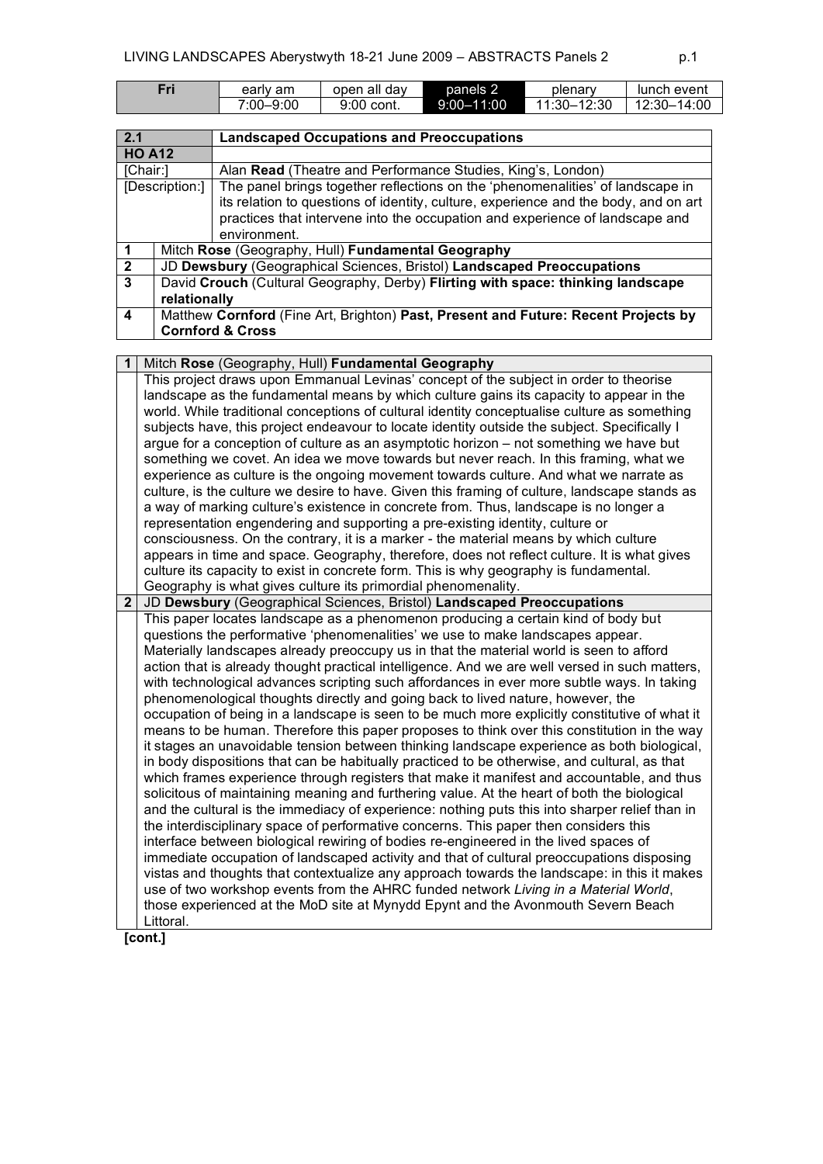| Fri | early am      | open all dav | panels 2       | plenary     | lunch event |
|-----|---------------|--------------|----------------|-------------|-------------|
|     | $7:00 - 9:00$ | 9:00 cont.   | $9:00 - 11:00$ | 11:30-12:30 | 12:30-14:00 |
|     |               |              |                |             |             |

| 2.1            | <b>Landscaped Occupations and Preoccupations</b>                                   |                                                                                     |  |  |
|----------------|------------------------------------------------------------------------------------|-------------------------------------------------------------------------------------|--|--|
|                | <b>HO A12</b>                                                                      |                                                                                     |  |  |
| [Chair:]       |                                                                                    | Alan Read (Theatre and Performance Studies, King's, London)                         |  |  |
|                | [Description:]                                                                     | The panel brings together reflections on the 'phenomenalities' of landscape in      |  |  |
|                |                                                                                    | its relation to questions of identity, culture, experience and the body, and on art |  |  |
|                |                                                                                    | practices that intervene into the occupation and experience of landscape and        |  |  |
|                |                                                                                    | environment.                                                                        |  |  |
|                | Mitch Rose (Geography, Hull) Fundamental Geography                                 |                                                                                     |  |  |
| $\overline{2}$ | JD Dewsbury (Geographical Sciences, Bristol) Landscaped Preoccupations             |                                                                                     |  |  |
| 3              | David Crouch (Cultural Geography, Derby) Flirting with space: thinking landscape   |                                                                                     |  |  |
|                | relationally                                                                       |                                                                                     |  |  |
| 4              | Matthew Cornford (Fine Art, Brighton) Past, Present and Future: Recent Projects by |                                                                                     |  |  |
|                | <b>Cornford &amp; Cross</b>                                                        |                                                                                     |  |  |

| Mitch Rose (Geography, Hull) Fundamental Geography                                            |
|-----------------------------------------------------------------------------------------------|
| This project draws upon Emmanual Levinas' concept of the subject in order to theorise         |
| landscape as the fundamental means by which culture gains its capacity to appear in the       |
| world. While traditional conceptions of cultural identity conceptualise culture as something  |
| subjects have, this project endeavour to locate identity outside the subject. Specifically I  |
| argue for a conception of culture as an asymptotic horizon – not something we have but        |
| something we covet. An idea we move towards but never reach. In this framing, what we         |
| experience as culture is the ongoing movement towards culture. And what we narrate as         |
| culture, is the culture we desire to have. Given this framing of culture, landscape stands as |
| a way of marking culture's existence in concrete from. Thus, landscape is no longer a         |
| representation engendering and supporting a pre-existing identity, culture or                 |
| consciousness. On the contrary, it is a marker - the material means by which culture          |
| appears in time and space. Geography, therefore, does not reflect culture. It is what gives   |
| culture its capacity to exist in concrete form. This is why geography is fundamental.         |
| Geography is what gives culture its primordial phenomenality.                                 |
|                                                                                               |

**2** JD **Dewsbury** (Geographical Sciences, Bristol) **Landscaped Preoccupations** This paper locates landscape as a phenomenon producing a certain kind of body but questions the performative 'phenomenalities' we use to make landscapes appear. Materially landscapes already preoccupy us in that the material world is seen to afford action that is already thought practical intelligence. And we are well versed in such matters, with technological advances scripting such affordances in ever more subtle ways. In taking phenomenological thoughts directly and going back to lived nature, however, the occupation of being in a landscape is seen to be much more explicitly constitutive of what it means to be human. Therefore this paper proposes to think over this constitution in the way it stages an unavoidable tension between thinking landscape experience as both biological, in body dispositions that can be habitually practiced to be otherwise, and cultural, as that which frames experience through registers that make it manifest and accountable, and thus solicitous of maintaining meaning and furthering value. At the heart of both the biological and the cultural is the immediacy of experience: nothing puts this into sharper relief than in the interdisciplinary space of performative concerns. This paper then considers this interface between biological rewiring of bodies re-engineered in the lived spaces of immediate occupation of landscaped activity and that of cultural preoccupations disposing vistas and thoughts that contextualize any approach towards the landscape: in this it makes use of two workshop events from the AHRC funded network *Living in a Material World*, those experienced at the MoD site at Mynydd Epynt and the Avonmouth Severn Beach Littoral.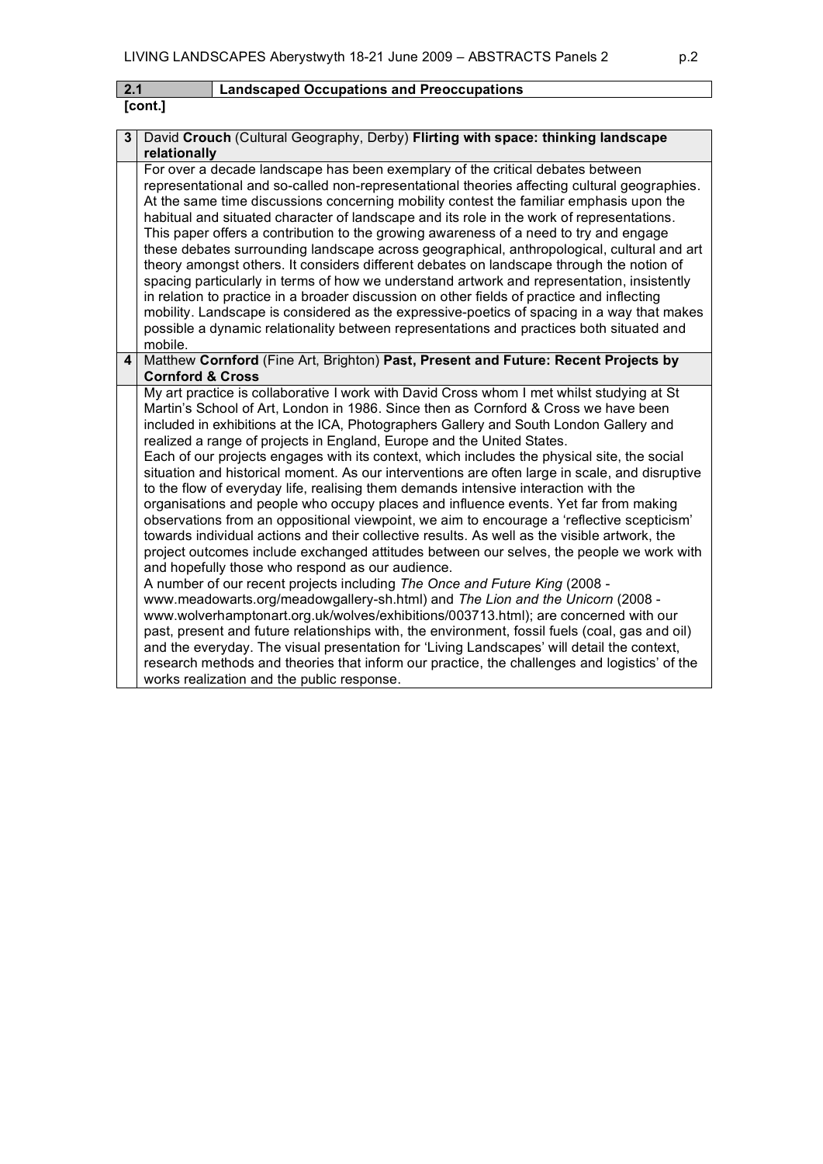| 2.1 | Landscaped Occupations and Preoccupations |
|-----|-------------------------------------------|
|-----|-------------------------------------------|

| ont | I |
|-----|---|
|-----|---|

| 3                       | David Crouch (Cultural Geography, Derby) Flirting with space: thinking landscape<br>relationally                                                                                                                                                                                                                                                                                                                                                                                                                                                                                                                                                                                                                                                                                                                                                                                                                                                                                                                                                                                                                                                                                                                                                                                                                                                                                                                                                                                                                                                                                                                                                                                        |
|-------------------------|-----------------------------------------------------------------------------------------------------------------------------------------------------------------------------------------------------------------------------------------------------------------------------------------------------------------------------------------------------------------------------------------------------------------------------------------------------------------------------------------------------------------------------------------------------------------------------------------------------------------------------------------------------------------------------------------------------------------------------------------------------------------------------------------------------------------------------------------------------------------------------------------------------------------------------------------------------------------------------------------------------------------------------------------------------------------------------------------------------------------------------------------------------------------------------------------------------------------------------------------------------------------------------------------------------------------------------------------------------------------------------------------------------------------------------------------------------------------------------------------------------------------------------------------------------------------------------------------------------------------------------------------------------------------------------------------|
|                         | For over a decade landscape has been exemplary of the critical debates between<br>representational and so-called non-representational theories affecting cultural geographies.<br>At the same time discussions concerning mobility contest the familiar emphasis upon the<br>habitual and situated character of landscape and its role in the work of representations.<br>This paper offers a contribution to the growing awareness of a need to try and engage<br>these debates surrounding landscape across geographical, anthropological, cultural and art<br>theory amongst others. It considers different debates on landscape through the notion of<br>spacing particularly in terms of how we understand artwork and representation, insistently<br>in relation to practice in a broader discussion on other fields of practice and inflecting<br>mobility. Landscape is considered as the expressive-poetics of spacing in a way that makes<br>possible a dynamic relationality between representations and practices both situated and<br>mobile.                                                                                                                                                                                                                                                                                                                                                                                                                                                                                                                                                                                                                              |
| $\overline{\mathbf{4}}$ | Matthew Cornford (Fine Art, Brighton) Past, Present and Future: Recent Projects by<br><b>Cornford &amp; Cross</b>                                                                                                                                                                                                                                                                                                                                                                                                                                                                                                                                                                                                                                                                                                                                                                                                                                                                                                                                                                                                                                                                                                                                                                                                                                                                                                                                                                                                                                                                                                                                                                       |
|                         | My art practice is collaborative I work with David Cross whom I met whilst studying at St<br>Martin's School of Art, London in 1986. Since then as Cornford & Cross we have been<br>included in exhibitions at the ICA, Photographers Gallery and South London Gallery and<br>realized a range of projects in England, Europe and the United States.<br>Each of our projects engages with its context, which includes the physical site, the social<br>situation and historical moment. As our interventions are often large in scale, and disruptive<br>to the flow of everyday life, realising them demands intensive interaction with the<br>organisations and people who occupy places and influence events. Yet far from making<br>observations from an oppositional viewpoint, we aim to encourage a 'reflective scepticism'<br>towards individual actions and their collective results. As well as the visible artwork, the<br>project outcomes include exchanged attitudes between our selves, the people we work with<br>and hopefully those who respond as our audience.<br>A number of our recent projects including The Once and Future King (2008 -<br>www.meadowarts.org/meadowgallery-sh.html) and The Lion and the Unicorn (2008 -<br>www.wolverhamptonart.org.uk/wolves/exhibitions/003713.html); are concerned with our<br>past, present and future relationships with, the environment, fossil fuels (coal, gas and oil)<br>and the everyday. The visual presentation for 'Living Landscapes' will detail the context,<br>research methods and theories that inform our practice, the challenges and logistics' of the<br>works realization and the public response. |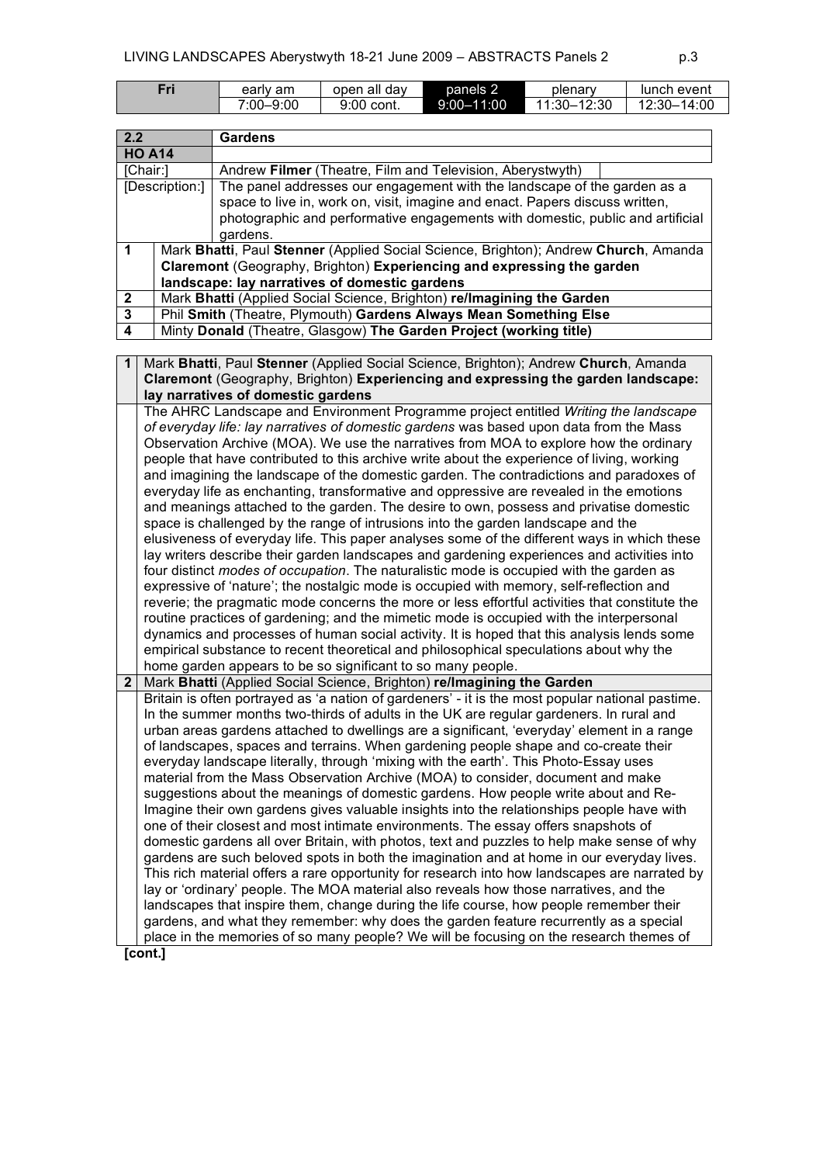| Fri | early am  | open all dav | panels 2       | plenary     | lunch event        |
|-----|-----------|--------------|----------------|-------------|--------------------|
|     | 7:00-9:00 | 9:00 cont.   | $9:00 - 11:00$ | 11:30-12:30 | 14:00<br>$12:30-.$ |

| 2.2            |                | <b>Gardens</b>                                                                                   |
|----------------|----------------|--------------------------------------------------------------------------------------------------|
|                | <b>HO A14</b>  |                                                                                                  |
|                | [Chair:]       | Andrew Filmer (Theatre, Film and Television, Aberystwyth)                                        |
|                | [Description:] | The panel addresses our engagement with the landscape of the garden as a                         |
|                |                | space to live in, work on, visit, imagine and enact. Papers discuss written,                     |
|                |                | photographic and performative engagements with domestic, public and artificial                   |
|                |                | gardens.                                                                                         |
| $\mathbf 1$    |                | Mark Bhatti, Paul Stenner (Applied Social Science, Brighton); Andrew Church, Amanda              |
|                |                | Claremont (Geography, Brighton) Experiencing and expressing the garden                           |
|                |                | landscape: lay narratives of domestic gardens                                                    |
| $\mathbf 2$    |                | Mark Bhatti (Applied Social Science, Brighton) re/Imagining the Garden                           |
| 3              |                | Phil Smith (Theatre, Plymouth) Gardens Always Mean Something Else                                |
| 4              |                | Minty Donald (Theatre, Glasgow) The Garden Project (working title)                               |
|                |                |                                                                                                  |
| 1              |                | Mark Bhatti, Paul Stenner (Applied Social Science, Brighton); Andrew Church, Amanda              |
|                |                | Claremont (Geography, Brighton) Experiencing and expressing the garden landscape:                |
|                |                | lay narratives of domestic gardens                                                               |
|                |                | The AHRC Landscape and Environment Programme project entitled Writing the landscape              |
|                |                | of everyday life: lay narratives of domestic gardens was based upon data from the Mass           |
|                |                | Observation Archive (MOA). We use the narratives from MOA to explore how the ordinary            |
|                |                | people that have contributed to this archive write about the experience of living, working       |
|                |                | and imagining the landscape of the domestic garden. The contradictions and paradoxes of          |
|                |                | everyday life as enchanting, transformative and oppressive are revealed in the emotions          |
|                |                | and meanings attached to the garden. The desire to own, possess and privatise domestic           |
|                |                | space is challenged by the range of intrusions into the garden landscape and the                 |
|                |                | elusiveness of everyday life. This paper analyses some of the different ways in which these      |
|                |                | lay writers describe their garden landscapes and gardening experiences and activities into       |
|                |                | four distinct modes of occupation. The naturalistic mode is occupied with the garden as          |
|                |                | expressive of 'nature'; the nostalgic mode is occupied with memory, self-reflection and          |
|                |                | reverie; the pragmatic mode concerns the more or less effortful activities that constitute the   |
|                |                | routine practices of gardening; and the mimetic mode is occupied with the interpersonal          |
|                |                | dynamics and processes of human social activity. It is hoped that this analysis lends some       |
|                |                | empirical substance to recent theoretical and philosophical speculations about why the           |
|                |                | home garden appears to be so significant to so many people.                                      |
| 2 <sub>1</sub> |                | Mark Bhatti (Applied Social Science, Brighton) re/Imagining the Garden                           |
|                |                | Britain is often portrayed as 'a nation of gardeners' - it is the most popular national pastime. |
|                |                | In the summer months two-thirds of adults in the UK are regular gardeners. In rural and          |
|                |                | urban areas gardens attached to dwellings are a significant, 'everyday' element in a range       |
|                |                | of landscapes, spaces and terrains. When gardening people shape and co-create their              |
|                |                | everyday landscape literally, through 'mixing with the earth'. This Photo-Essay uses             |
|                |                | material from the Mass Observation Archive (MOA) to consider, document and make                  |
|                |                | suggestions about the meanings of domestic gardens. How people write about and Re-               |
|                |                | Imagine their own gardens gives valuable insights into the relationships people have with        |
|                |                | one of their closest and most intimate environments. The essay offers snapshots of               |
|                |                | domestic gardens all over Britain, with photos, text and puzzles to help make sense of why       |
|                |                | gardens are such beloved spots in both the imagination and at home in our everyday lives.        |
|                |                | This rich material offers a rare opportunity for research into how landscapes are narrated by    |
|                |                | lay or 'ordinary' people. The MOA material also reveals how those narratives, and the            |
|                |                | landscapes that inspire them, change during the life course, how people remember their           |
|                |                | gardens, and what they remember: why does the garden feature recurrently as a special            |
|                |                | place in the memories of so many people? We will be focusing on the research themes of           |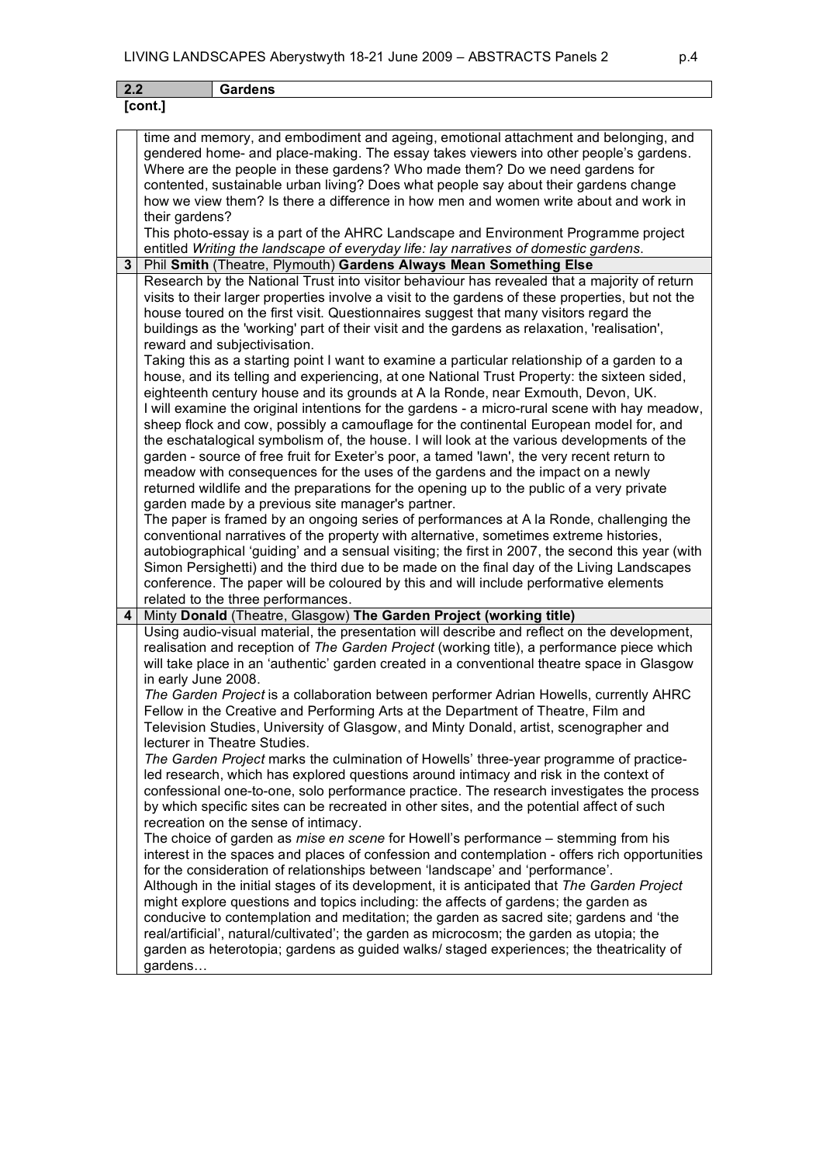|                          | LIVING LANDSCAPES Aberystwyth 18-21 June 2009 - ABSTRACTS Panels 2                                                                                                                                                                                                                                                                                                                                                                                                                                                                                                                                                                                                                                                                                                                                                                                                                                                                                                                                                                                                                                                                                                                                                                                                                                                                                                                                                                                                                                                                                                                                                                                                                                                                                                                                                      | p.4 |
|--------------------------|-------------------------------------------------------------------------------------------------------------------------------------------------------------------------------------------------------------------------------------------------------------------------------------------------------------------------------------------------------------------------------------------------------------------------------------------------------------------------------------------------------------------------------------------------------------------------------------------------------------------------------------------------------------------------------------------------------------------------------------------------------------------------------------------------------------------------------------------------------------------------------------------------------------------------------------------------------------------------------------------------------------------------------------------------------------------------------------------------------------------------------------------------------------------------------------------------------------------------------------------------------------------------------------------------------------------------------------------------------------------------------------------------------------------------------------------------------------------------------------------------------------------------------------------------------------------------------------------------------------------------------------------------------------------------------------------------------------------------------------------------------------------------------------------------------------------------|-----|
| 2.2                      | <b>Gardens</b>                                                                                                                                                                                                                                                                                                                                                                                                                                                                                                                                                                                                                                                                                                                                                                                                                                                                                                                                                                                                                                                                                                                                                                                                                                                                                                                                                                                                                                                                                                                                                                                                                                                                                                                                                                                                          |     |
| [cont.]                  |                                                                                                                                                                                                                                                                                                                                                                                                                                                                                                                                                                                                                                                                                                                                                                                                                                                                                                                                                                                                                                                                                                                                                                                                                                                                                                                                                                                                                                                                                                                                                                                                                                                                                                                                                                                                                         |     |
| their gardens?           | time and memory, and embodiment and ageing, emotional attachment and belonging, and<br>gendered home- and place-making. The essay takes viewers into other people's gardens.<br>Where are the people in these gardens? Who made them? Do we need gardens for<br>contented, sustainable urban living? Does what people say about their gardens change<br>how we view them? Is there a difference in how men and women write about and work in<br>This photo-essay is a part of the AHRC Landscape and Environment Programme project<br>entitled Writing the landscape of everyday life: lay narratives of domestic gardens.                                                                                                                                                                                                                                                                                                                                                                                                                                                                                                                                                                                                                                                                                                                                                                                                                                                                                                                                                                                                                                                                                                                                                                                              |     |
| 3                        | Phil Smith (Theatre, Plymouth) Gardens Always Mean Something Else                                                                                                                                                                                                                                                                                                                                                                                                                                                                                                                                                                                                                                                                                                                                                                                                                                                                                                                                                                                                                                                                                                                                                                                                                                                                                                                                                                                                                                                                                                                                                                                                                                                                                                                                                       |     |
|                          | Research by the National Trust into visitor behaviour has revealed that a majority of return<br>visits to their larger properties involve a visit to the gardens of these properties, but not the<br>house toured on the first visit. Questionnaires suggest that many visitors regard the<br>buildings as the 'working' part of their visit and the gardens as relaxation, 'realisation',<br>reward and subjectivisation.<br>Taking this as a starting point I want to examine a particular relationship of a garden to a<br>house, and its telling and experiencing, at one National Trust Property: the sixteen sided,<br>eighteenth century house and its grounds at A la Ronde, near Exmouth, Devon, UK.<br>I will examine the original intentions for the gardens - a micro-rural scene with hay meadow,<br>sheep flock and cow, possibly a camouflage for the continental European model for, and<br>the eschatalogical symbolism of, the house. I will look at the various developments of the<br>garden - source of free fruit for Exeter's poor, a tamed 'lawn', the very recent return to<br>meadow with consequences for the uses of the gardens and the impact on a newly<br>returned wildlife and the preparations for the opening up to the public of a very private<br>garden made by a previous site manager's partner.<br>The paper is framed by an ongoing series of performances at A la Ronde, challenging the<br>conventional narratives of the property with alternative, sometimes extreme histories,<br>autobiographical 'guiding' and a sensual visiting; the first in 2007, the second this year (with<br>Simon Persighetti) and the third due to be made on the final day of the Living Landscapes<br>conference. The paper will be coloured by this and will include performative elements |     |
|                          | related to the three performances.                                                                                                                                                                                                                                                                                                                                                                                                                                                                                                                                                                                                                                                                                                                                                                                                                                                                                                                                                                                                                                                                                                                                                                                                                                                                                                                                                                                                                                                                                                                                                                                                                                                                                                                                                                                      |     |
| 4<br>in early June 2008. | Minty Donald (Theatre, Glasgow) The Garden Project (working title)<br>Using audio-visual material, the presentation will describe and reflect on the development,<br>realisation and reception of The Garden Project (working title), a performance piece which<br>will take place in an 'authentic' garden created in a conventional theatre space in Glasgow<br>The Garden Project is a collaboration between performer Adrian Howells, currently AHRC<br>Fellow in the Creative and Performing Arts at the Department of Theatre, Film and<br>Television Studies, University of Glasgow, and Minty Donald, artist, scenographer and<br>lecturer in Theatre Studies.<br>The Garden Project marks the culmination of Howells' three-year programme of practice-<br>led research, which has explored questions around intimacy and risk in the context of<br>confessional one-to-one, solo performance practice. The research investigates the process<br>by which specific sites can be recreated in other sites, and the potential affect of such<br>recreation on the sense of intimacy.<br>The choice of garden as <i>mise en scene</i> for Howell's performance – stemming from his<br>interest in the spaces and places of confession and contemplation - offers rich opportunities<br>for the consideration of relationships between 'landscape' and 'performance'.<br>Although in the initial stages of its development, it is anticipated that The Garden Project<br>might explore questions and topics including: the affects of gardens; the garden as<br>conducive to contemplation and meditation; the garden as sacred site; gardens and 'the<br>real/artificial', natural/cultivated'; the garden as microcosm; the garden as utopia; the                                                                |     |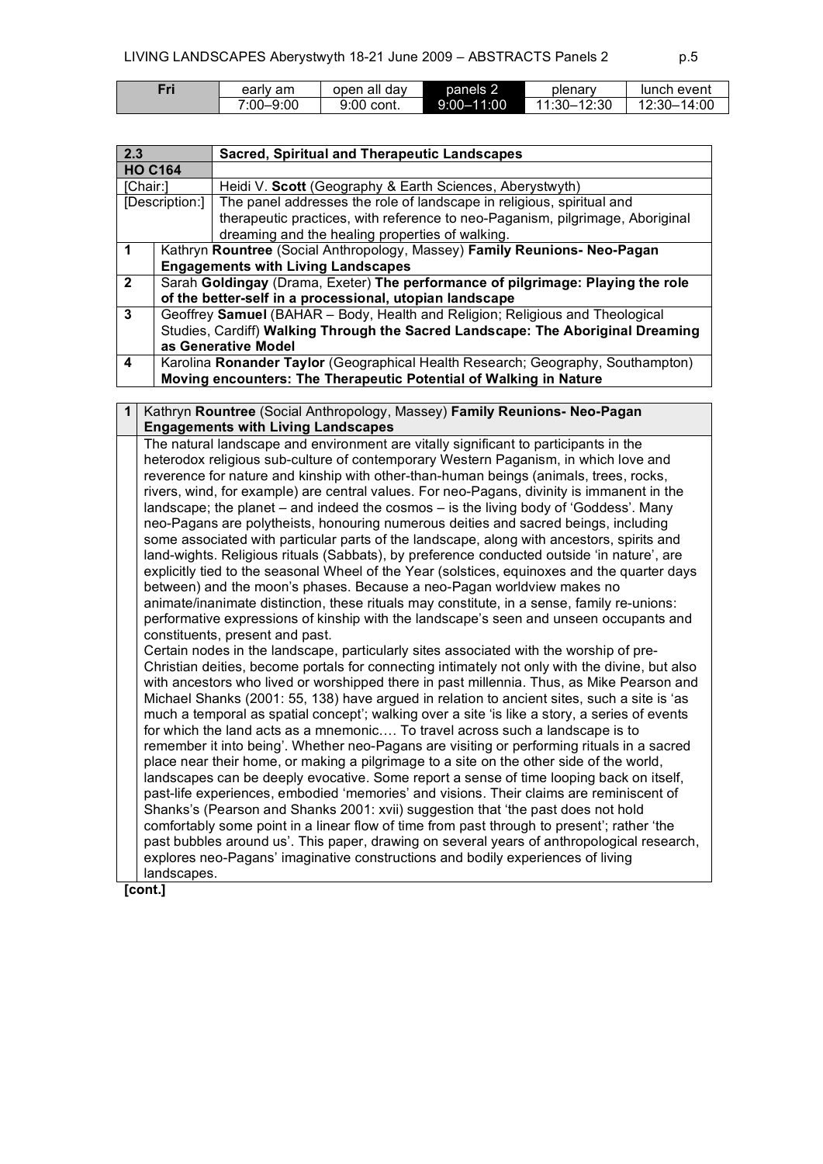| Fri | earlv am      | open all dav | panels 2       | plenary     | lunch event             |
|-----|---------------|--------------|----------------|-------------|-------------------------|
|     | $7:00 - 9:00$ | 9:00 cont.   | $9:00 - 11:00$ | 11:30-12:30 | $-14:00$<br>. 12:30 – . |

| 2.3                                                                  |                                                         | <b>Sacred, Spiritual and Therapeutic Landscapes</b>                             |  |  |  |
|----------------------------------------------------------------------|---------------------------------------------------------|---------------------------------------------------------------------------------|--|--|--|
| <b>HO C164</b>                                                       |                                                         |                                                                                 |  |  |  |
| [Chair:]<br>Heidi V. Scott (Geography & Earth Sciences, Aberystwyth) |                                                         |                                                                                 |  |  |  |
|                                                                      | [Description:]                                          | The panel addresses the role of landscape in religious, spiritual and           |  |  |  |
|                                                                      |                                                         | therapeutic practices, with reference to neo-Paganism, pilgrimage, Aboriginal   |  |  |  |
|                                                                      |                                                         | dreaming and the healing properties of walking.                                 |  |  |  |
|                                                                      |                                                         | Kathryn Rountree (Social Anthropology, Massey) Family Reunions- Neo-Pagan       |  |  |  |
|                                                                      |                                                         | <b>Engagements with Living Landscapes</b>                                       |  |  |  |
| $\overline{2}$                                                       |                                                         | Sarah Goldingay (Drama, Exeter) The performance of pilgrimage: Playing the role |  |  |  |
|                                                                      | of the better-self in a processional, utopian landscape |                                                                                 |  |  |  |
| 3                                                                    |                                                         | Geoffrey Samuel (BAHAR - Body, Health and Religion; Religious and Theological   |  |  |  |
|                                                                      |                                                         | Studies, Cardiff) Walking Through the Sacred Landscape: The Aboriginal Dreaming |  |  |  |
|                                                                      | as Generative Model                                     |                                                                                 |  |  |  |
| 4                                                                    |                                                         | Karolina Ronander Taylor (Geographical Health Research; Geography, Southampton) |  |  |  |
|                                                                      |                                                         | Moving encounters: The Therapeutic Potential of Walking in Nature               |  |  |  |

**1** Kathryn **Rountree** (Social Anthropology, Massey) **Family Reunions- Neo-Pagan Engagements with Living Landscapes** The natural landscape and environment are vitally significant to participants in the heterodox religious sub-culture of contemporary Western Paganism, in which love and reverence for nature and kinship with other-than-human beings (animals, trees, rocks, rivers, wind, for example) are central values. For neo-Pagans, divinity is immanent in the landscape; the planet – and indeed the cosmos – is the living body of 'Goddess'. Many neo-Pagans are polytheists, honouring numerous deities and sacred beings, including some associated with particular parts of the landscape, along with ancestors, spirits and land-wights. Religious rituals (Sabbats), by preference conducted outside 'in nature', are explicitly tied to the seasonal Wheel of the Year (solstices, equinoxes and the quarter days between) and the moon's phases. Because a neo-Pagan worldview makes no animate/inanimate distinction, these rituals may constitute, in a sense, family re-unions: performative expressions of kinship with the landscape's seen and unseen occupants and constituents, present and past. Certain nodes in the landscape, particularly sites associated with the worship of pre-Christian deities, become portals for connecting intimately not only with the divine, but also with ancestors who lived or worshipped there in past millennia. Thus, as Mike Pearson and Michael Shanks (2001: 55, 138) have argued in relation to ancient sites, such a site is 'as much a temporal as spatial concept'; walking over a site 'is like a story, a series of events for which the land acts as a mnemonic…. To travel across such a landscape is to remember it into being'. Whether neo-Pagans are visiting or performing rituals in a sacred place near their home, or making a pilgrimage to a site on the other side of the world, landscapes can be deeply evocative. Some report a sense of time looping back on itself, past-life experiences, embodied 'memories' and visions. Their claims are reminiscent of Shanks's (Pearson and Shanks 2001: xvii) suggestion that 'the past does not hold comfortably some point in a linear flow of time from past through to present'; rather 'the past bubbles around us'. This paper, drawing on several years of anthropological research, explores neo-Pagans' imaginative constructions and bodily experiences of living landscapes.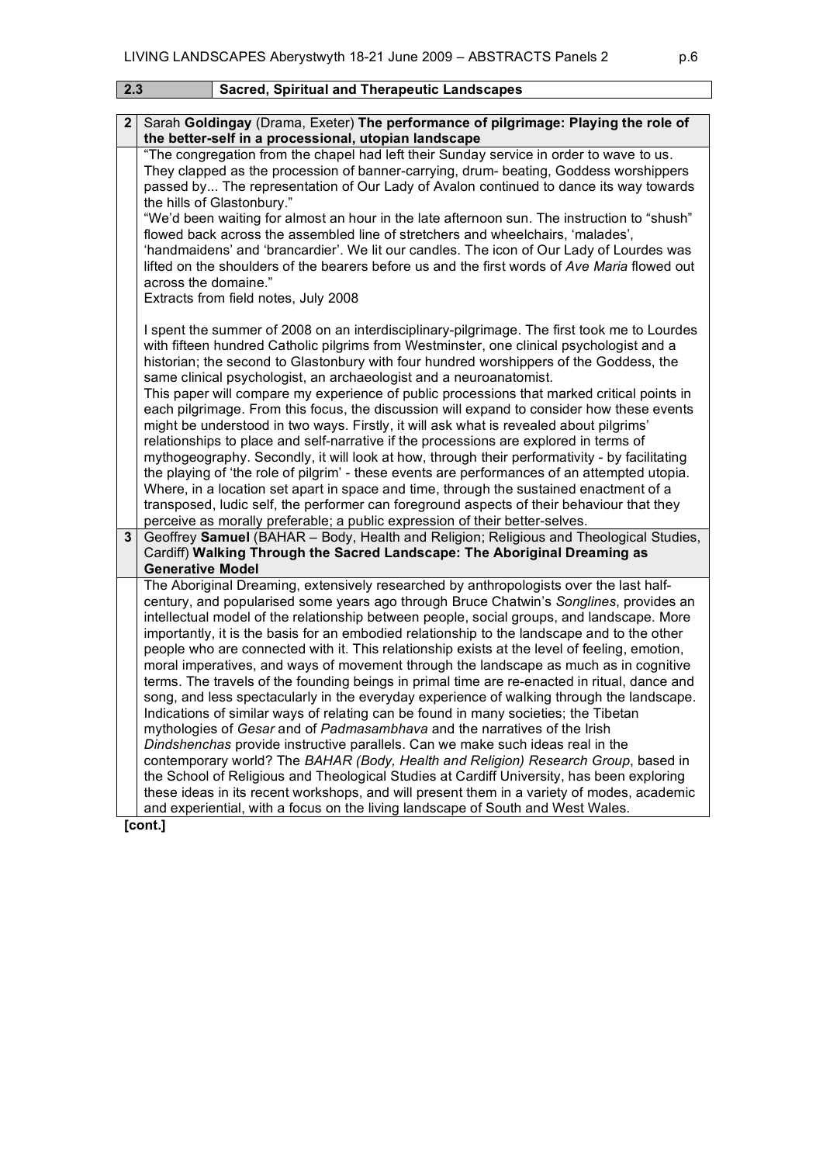| 2.3          | <b>Sacred, Spiritual and Therapeutic Landscapes</b>                                                                                                                                                                                                                                                                                                                                                                                                                                                                                                                                                                                                                                                                                                                                                                                                                                                                                                                                                                                                                                                                                                                                                                                                                                                                                                                                                                     |
|--------------|-------------------------------------------------------------------------------------------------------------------------------------------------------------------------------------------------------------------------------------------------------------------------------------------------------------------------------------------------------------------------------------------------------------------------------------------------------------------------------------------------------------------------------------------------------------------------------------------------------------------------------------------------------------------------------------------------------------------------------------------------------------------------------------------------------------------------------------------------------------------------------------------------------------------------------------------------------------------------------------------------------------------------------------------------------------------------------------------------------------------------------------------------------------------------------------------------------------------------------------------------------------------------------------------------------------------------------------------------------------------------------------------------------------------------|
| $\mathbf{2}$ | Sarah Goldingay (Drama, Exeter) The performance of pilgrimage: Playing the role of<br>the better-self in a processional, utopian landscape                                                                                                                                                                                                                                                                                                                                                                                                                                                                                                                                                                                                                                                                                                                                                                                                                                                                                                                                                                                                                                                                                                                                                                                                                                                                              |
|              | "The congregation from the chapel had left their Sunday service in order to wave to us.<br>They clapped as the procession of banner-carrying, drum- beating, Goddess worshippers<br>passed by The representation of Our Lady of Avalon continued to dance its way towards<br>the hills of Glastonbury."<br>"We'd been waiting for almost an hour in the late afternoon sun. The instruction to "shush"<br>flowed back across the assembled line of stretchers and wheelchairs, 'malades',<br>'handmaidens' and 'brancardier'. We lit our candles. The icon of Our Lady of Lourdes was<br>lifted on the shoulders of the bearers before us and the first words of Ave Maria flowed out<br>across the domaine."<br>Extracts from field notes, July 2008                                                                                                                                                                                                                                                                                                                                                                                                                                                                                                                                                                                                                                                                   |
| 3            | I spent the summer of 2008 on an interdisciplinary-pilgrimage. The first took me to Lourdes<br>with fifteen hundred Catholic pilgrims from Westminster, one clinical psychologist and a<br>historian; the second to Glastonbury with four hundred worshippers of the Goddess, the<br>same clinical psychologist, an archaeologist and a neuroanatomist.<br>This paper will compare my experience of public processions that marked critical points in<br>each pilgrimage. From this focus, the discussion will expand to consider how these events<br>might be understood in two ways. Firstly, it will ask what is revealed about pilgrims'<br>relationships to place and self-narrative if the processions are explored in terms of<br>mythogeography. Secondly, it will look at how, through their performativity - by facilitating<br>the playing of 'the role of pilgrim' - these events are performances of an attempted utopia.<br>Where, in a location set apart in space and time, through the sustained enactment of a<br>transposed, ludic self, the performer can foreground aspects of their behaviour that they<br>perceive as morally preferable; a public expression of their better-selves.<br>Geoffrey Samuel (BAHAR - Body, Health and Religion; Religious and Theological Studies,<br>Cardiff) Walking Through the Sacred Landscape: The Aboriginal Dreaming as                                     |
|              | <b>Generative Model</b><br>The Aboriginal Dreaming, extensively researched by anthropologists over the last half-<br>century, and popularised some years ago through Bruce Chatwin's Songlines, provides an<br>intellectual model of the relationship between people, social groups, and landscape. More<br>importantly, it is the basis for an embodied relationship to the landscape and to the other<br>people who are connected with it. This relationship exists at the level of feeling, emotion,<br>moral imperatives, and ways of movement through the landscape as much as in cognitive<br>terms. The travels of the founding beings in primal time are re-enacted in ritual, dance and<br>song, and less spectacularly in the everyday experience of walking through the landscape.<br>Indications of similar ways of relating can be found in many societies; the Tibetan<br>mythologies of Gesar and of Padmasambhava and the narratives of the Irish<br>Dindshenchas provide instructive parallels. Can we make such ideas real in the<br>contemporary world? The BAHAR (Body, Health and Religion) Research Group, based in<br>the School of Religious and Theological Studies at Cardiff University, has been exploring<br>these ideas in its recent workshops, and will present them in a variety of modes, academic<br>and experiential, with a focus on the living landscape of South and West Wales. |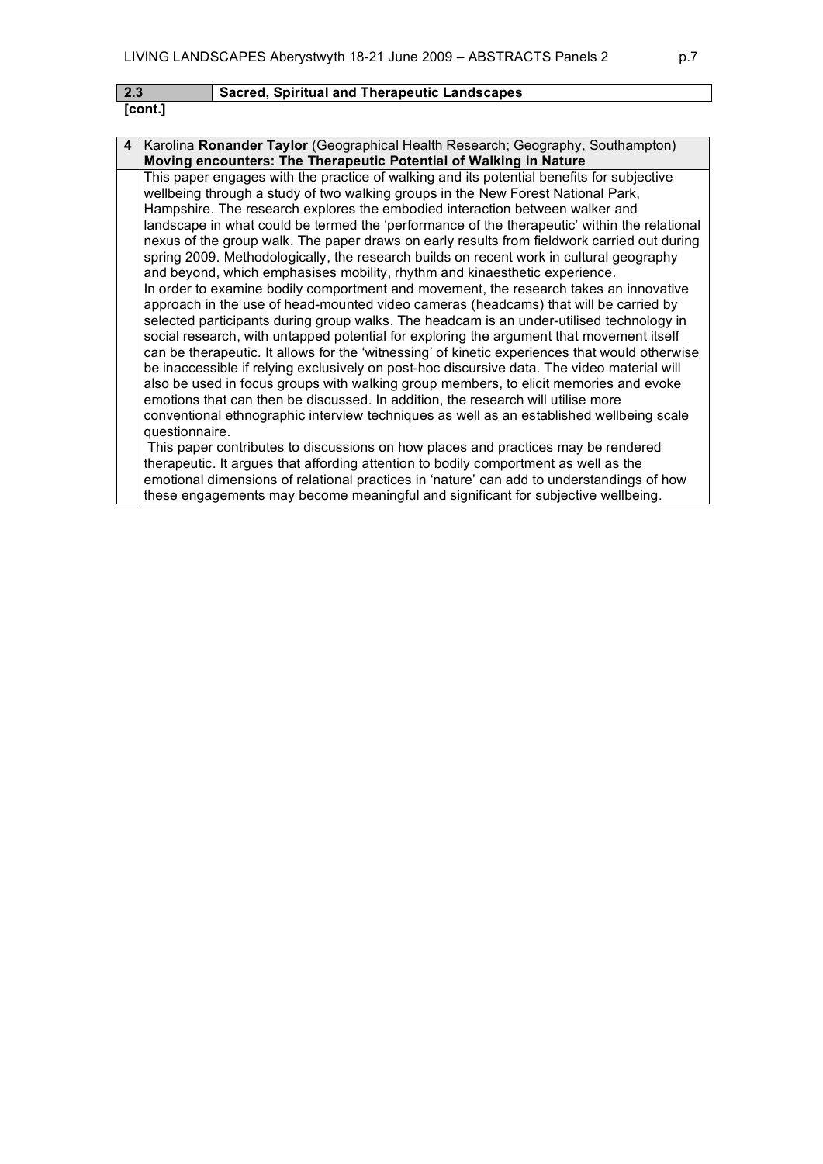| $2.3$   | Sacred, Spiritual and Therapeutic Landscapes |
|---------|----------------------------------------------|
| [cont.] |                                              |

| 4 <sup>1</sup> | Karolina Ronander Taylor (Geographical Health Research; Geography, Southampton)                |
|----------------|------------------------------------------------------------------------------------------------|
|                | Moving encounters: The Therapeutic Potential of Walking in Nature                              |
|                | This paper engages with the practice of walking and its potential benefits for subjective      |
|                | wellbeing through a study of two walking groups in the New Forest National Park,               |
|                | Hampshire. The research explores the embodied interaction between walker and                   |
|                | landscape in what could be termed the 'performance of the therapeutic' within the relational   |
|                | nexus of the group walk. The paper draws on early results from fieldwork carried out during    |
|                | spring 2009. Methodologically, the research builds on recent work in cultural geography        |
|                | and beyond, which emphasises mobility, rhythm and kinaesthetic experience.                     |
|                | In order to examine bodily comportment and movement, the research takes an innovative          |
|                | approach in the use of head-mounted video cameras (headcams) that will be carried by           |
|                | selected participants during group walks. The headcam is an under-utilised technology in       |
|                | social research, with untapped potential for exploring the argument that movement itself       |
|                | can be therapeutic. It allows for the 'witnessing' of kinetic experiences that would otherwise |
|                | be inaccessible if relying exclusively on post-hoc discursive data. The video material will    |
|                | also be used in focus groups with walking group members, to elicit memories and evoke          |
|                | emotions that can then be discussed. In addition, the research will utilise more               |
|                | conventional ethnographic interview techniques as well as an established wellbeing scale       |
|                | questionnaire.                                                                                 |
|                | This paper contributes to discussions on how places and practices may be rendered              |
|                | therapeutic. It argues that affording attention to bodily comportment as well as the           |
|                | emotional dimensions of relational practices in 'nature' can add to understandings of how      |
|                | these engagements may become meaningful and significant for subjective wellbeing.              |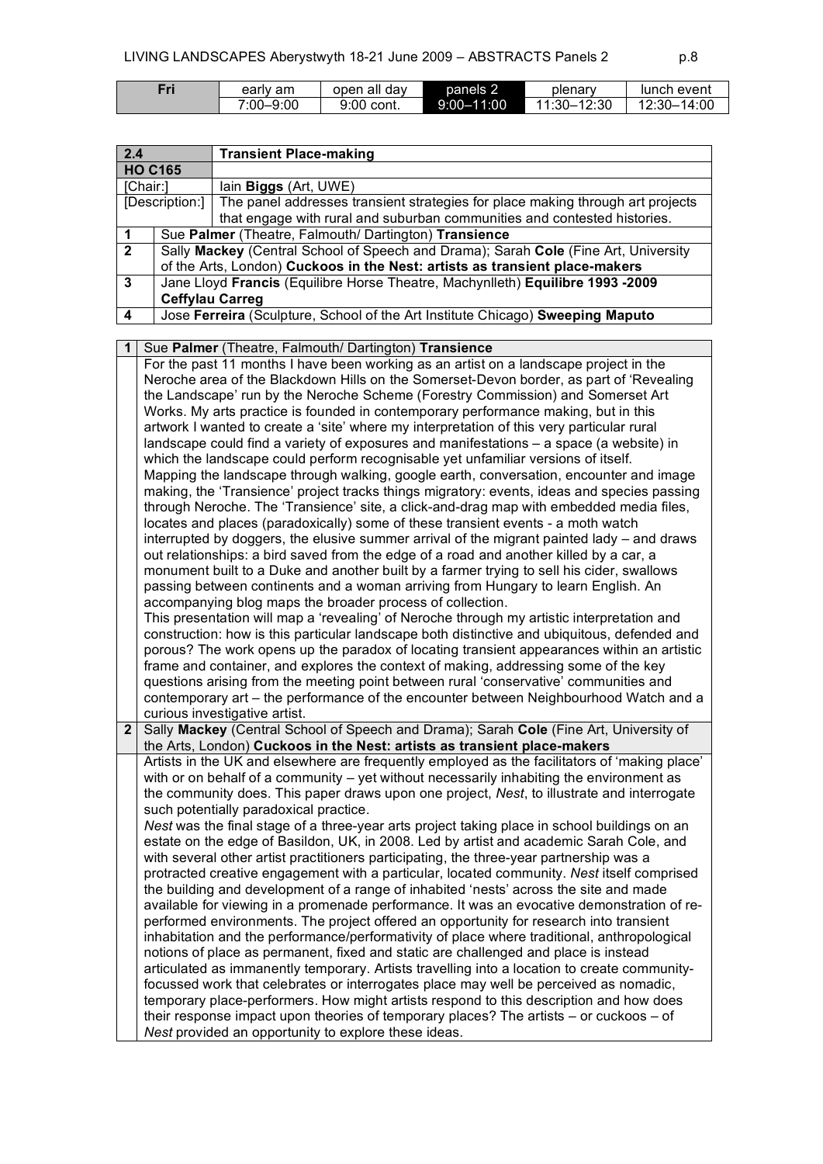| Fri | earlv am  | open all day | panels 2       | plenary                | lunch event           |
|-----|-----------|--------------|----------------|------------------------|-----------------------|
|     | 7:00–9:00 | 9:00 cont.   | $9:00 - 11:00$ | $-12:30$<br>$11:30-$ . | $-14:00$<br>. 12:30 – |

| 2.4                               |                                                                                     | <b>Transient Place-making</b>                                                  |  |
|-----------------------------------|-------------------------------------------------------------------------------------|--------------------------------------------------------------------------------|--|
| <b>HO C165</b>                    |                                                                                     |                                                                                |  |
| [Chair:]<br>lain Biggs (Art, UWE) |                                                                                     |                                                                                |  |
| [Description:]                    |                                                                                     | The panel addresses transient strategies for place making through art projects |  |
|                                   |                                                                                     | that engage with rural and suburban communities and contested histories.       |  |
|                                   | Sue Palmer (Theatre, Falmouth/ Dartington) Transience                               |                                                                                |  |
| $\overline{2}$                    | Sally Mackey (Central School of Speech and Drama); Sarah Cole (Fine Art, University |                                                                                |  |
|                                   | of the Arts, London) Cuckoos in the Nest: artists as transient place-makers         |                                                                                |  |
| 3                                 | Jane Lloyd Francis (Equilibre Horse Theatre, Machynlleth) Equilibre 1993 -2009      |                                                                                |  |
|                                   | <b>Ceffylau Carreg</b>                                                              |                                                                                |  |
| 4                                 | Jose Ferreira (Sculpture, School of the Art Institute Chicago) Sweeping Maputo      |                                                                                |  |

| 1            | Sue Palmer (Theatre, Falmouth/ Dartington) Transience                                                                                          |
|--------------|------------------------------------------------------------------------------------------------------------------------------------------------|
|              | For the past 11 months I have been working as an artist on a landscape project in the                                                          |
|              | Neroche area of the Blackdown Hills on the Somerset-Devon border, as part of 'Revealing                                                        |
|              | the Landscape' run by the Neroche Scheme (Forestry Commission) and Somerset Art                                                                |
|              | Works. My arts practice is founded in contemporary performance making, but in this                                                             |
|              | artwork I wanted to create a 'site' where my interpretation of this very particular rural                                                      |
|              | landscape could find a variety of exposures and manifestations - a space (a website) in                                                        |
|              | which the landscape could perform recognisable yet unfamiliar versions of itself.                                                              |
|              | Mapping the landscape through walking, google earth, conversation, encounter and image                                                         |
|              | making, the 'Transience' project tracks things migratory: events, ideas and species passing                                                    |
|              | through Neroche. The 'Transience' site, a click-and-drag map with embedded media files,                                                        |
|              | locates and places (paradoxically) some of these transient events - a moth watch                                                               |
|              | interrupted by doggers, the elusive summer arrival of the migrant painted lady – and draws                                                     |
|              | out relationships: a bird saved from the edge of a road and another killed by a car, a                                                         |
|              | monument built to a Duke and another built by a farmer trying to sell his cider, swallows                                                      |
|              | passing between continents and a woman arriving from Hungary to learn English. An                                                              |
|              | accompanying blog maps the broader process of collection.                                                                                      |
|              | This presentation will map a 'revealing' of Neroche through my artistic interpretation and                                                     |
|              | construction: how is this particular landscape both distinctive and ubiquitous, defended and                                                   |
|              | porous? The work opens up the paradox of locating transient appearances within an artistic                                                     |
|              | frame and container, and explores the context of making, addressing some of the key                                                            |
|              | questions arising from the meeting point between rural 'conservative' communities and                                                          |
|              | contemporary art – the performance of the encounter between Neighbourhood Watch and a                                                          |
|              |                                                                                                                                                |
|              |                                                                                                                                                |
| $\mathbf{2}$ | curious investigative artist.                                                                                                                  |
|              | Sally Mackey (Central School of Speech and Drama); Sarah Cole (Fine Art, University of                                                         |
|              | the Arts, London) Cuckoos in the Nest: artists as transient place-makers                                                                       |
|              | Artists in the UK and elsewhere are frequently employed as the facilitators of 'making place'                                                  |
|              | with or on behalf of a community - yet without necessarily inhabiting the environment as                                                       |
|              | the community does. This paper draws upon one project, Nest, to illustrate and interrogate                                                     |
|              | such potentially paradoxical practice.                                                                                                         |
|              | Nest was the final stage of a three-year arts project taking place in school buildings on an                                                   |
|              | estate on the edge of Basildon, UK, in 2008. Led by artist and academic Sarah Cole, and                                                        |
|              | with several other artist practitioners participating, the three-year partnership was a                                                        |
|              | protracted creative engagement with a particular, located community. Nest itself comprised                                                     |
|              | the building and development of a range of inhabited 'nests' across the site and made                                                          |
|              | available for viewing in a promenade performance. It was an evocative demonstration of re-                                                     |
|              | performed environments. The project offered an opportunity for research into transient                                                         |
|              | inhabitation and the performance/performativity of place where traditional, anthropological                                                    |
|              | notions of place as permanent, fixed and static are challenged and place is instead                                                            |
|              | articulated as immanently temporary. Artists travelling into a location to create community-                                                   |
|              | focussed work that celebrates or interrogates place may well be perceived as nomadic,                                                          |
|              | temporary place-performers. How might artists respond to this description and how does                                                         |
|              | their response impact upon theories of temporary places? The artists - or cuckoos - of<br>Nest provided an opportunity to explore these ideas. |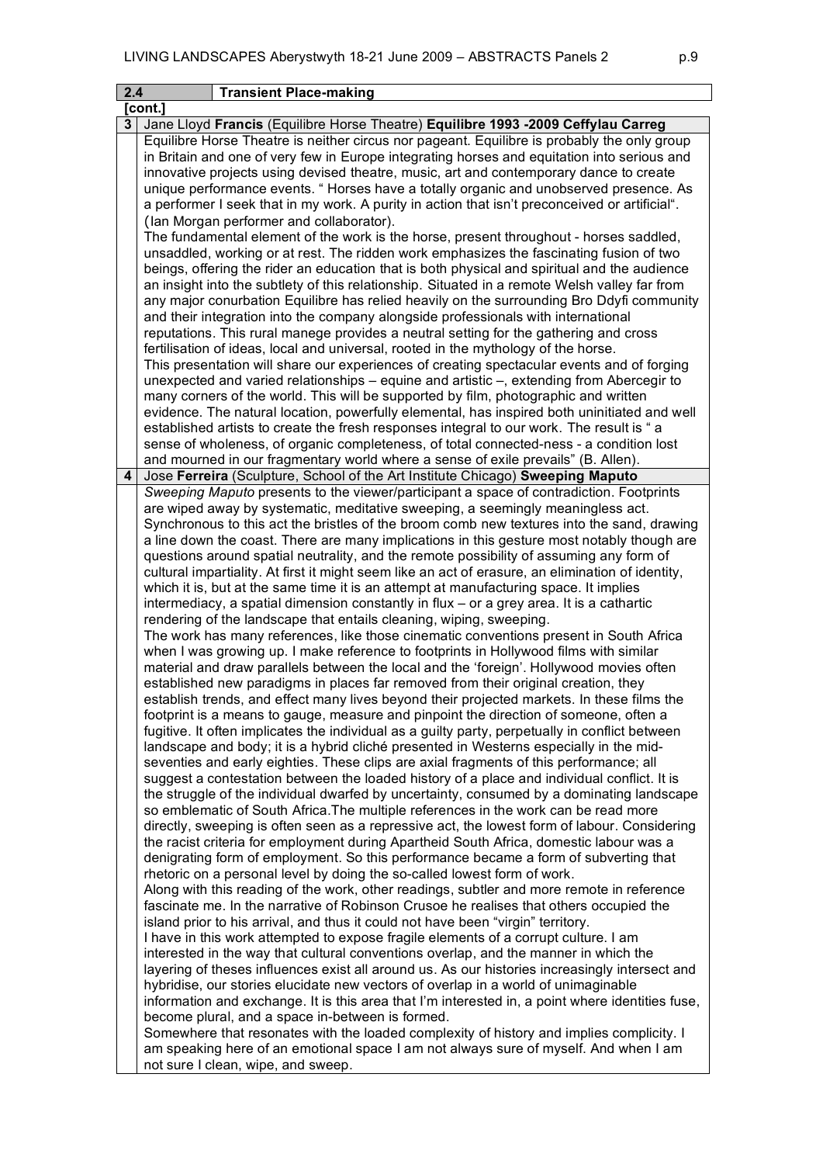| 2.4 | <b>Transient Place-making</b>                                                                                                                                                       |
|-----|-------------------------------------------------------------------------------------------------------------------------------------------------------------------------------------|
|     | [cont.]                                                                                                                                                                             |
|     | Jane Lloyd Francis (Equilibre Horse Theatre) Equilibre 1993 -2009 Ceffylau Carreg                                                                                                   |
|     | Equilibre Horse Theatre is neither circus nor pageant. Equilibre is probably the only group                                                                                         |
|     | in Britain and one of very few in Europe integrating horses and equitation into serious and                                                                                         |
|     | innovative projects using devised theatre, music, art and contemporary dance to create                                                                                              |
|     | unique performance events. "Horses have a totally organic and unobserved presence. As                                                                                               |
|     | a performer I seek that in my work. A purity in action that isn't preconceived or artificial".                                                                                      |
|     | (lan Morgan performer and collaborator).                                                                                                                                            |
|     | The fundamental element of the work is the horse, present throughout - horses saddled,                                                                                              |
|     | unsaddled, working or at rest. The ridden work emphasizes the fascinating fusion of two                                                                                             |
|     | beings, offering the rider an education that is both physical and spiritual and the audience                                                                                        |
|     | an insight into the subtlety of this relationship. Situated in a remote Welsh valley far from                                                                                       |
|     | any major conurbation Equilibre has relied heavily on the surrounding Bro Ddyfi community                                                                                           |
|     | and their integration into the company alongside professionals with international                                                                                                   |
|     | reputations. This rural manege provides a neutral setting for the gathering and cross                                                                                               |
|     | fertilisation of ideas, local and universal, rooted in the mythology of the horse.                                                                                                  |
|     | This presentation will share our experiences of creating spectacular events and of forging                                                                                          |
|     | unexpected and varied relationships – equine and artistic –, extending from Abercegir to                                                                                            |
|     | many corners of the world. This will be supported by film, photographic and written                                                                                                 |
|     | evidence. The natural location, powerfully elemental, has inspired both uninitiated and well                                                                                        |
|     | established artists to create the fresh responses integral to our work. The result is "a                                                                                            |
|     | sense of wholeness, of organic completeness, of total connected-ness - a condition lost                                                                                             |
| 4   | and mourned in our fragmentary world where a sense of exile prevails" (B. Allen).                                                                                                   |
|     | Jose Ferreira (Sculpture, School of the Art Institute Chicago) Sweeping Maputo<br>Sweeping Maputo presents to the viewer/participant a space of contradiction. Footprints           |
|     | are wiped away by systematic, meditative sweeping, a seemingly meaningless act.                                                                                                     |
|     | Synchronous to this act the bristles of the broom comb new textures into the sand, drawing                                                                                          |
|     | a line down the coast. There are many implications in this gesture most notably though are                                                                                          |
|     | questions around spatial neutrality, and the remote possibility of assuming any form of                                                                                             |
|     | cultural impartiality. At first it might seem like an act of erasure, an elimination of identity,                                                                                   |
|     | which it is, but at the same time it is an attempt at manufacturing space. It implies                                                                                               |
|     | intermediacy, a spatial dimension constantly in flux - or a grey area. It is a cathartic                                                                                            |
|     | rendering of the landscape that entails cleaning, wiping, sweeping.                                                                                                                 |
|     | The work has many references, like those cinematic conventions present in South Africa                                                                                              |
|     | when I was growing up. I make reference to footprints in Hollywood films with similar                                                                                               |
|     | material and draw parallels between the local and the 'foreign'. Hollywood movies often                                                                                             |
|     | established new paradigms in places far removed from their original creation, they                                                                                                  |
|     | establish trends, and effect many lives beyond their projected markets. In these films the                                                                                          |
|     | footprint is a means to gauge, measure and pinpoint the direction of someone, often a                                                                                               |
|     | fugitive. It often implicates the individual as a guilty party, perpetually in conflict between                                                                                     |
|     | landscape and body; it is a hybrid cliché presented in Westerns especially in the mid-                                                                                              |
|     | seventies and early eighties. These clips are axial fragments of this performance; all                                                                                              |
|     | suggest a contestation between the loaded history of a place and individual conflict. It is                                                                                         |
|     | the struggle of the individual dwarfed by uncertainty, consumed by a dominating landscape                                                                                           |
|     | so emblematic of South Africa. The multiple references in the work can be read more                                                                                                 |
|     | directly, sweeping is often seen as a repressive act, the lowest form of labour. Considering                                                                                        |
|     | the racist criteria for employment during Apartheid South Africa, domestic labour was a                                                                                             |
|     | denigrating form of employment. So this performance became a form of subverting that                                                                                                |
|     | rhetoric on a personal level by doing the so-called lowest form of work.                                                                                                            |
|     | Along with this reading of the work, other readings, subtler and more remote in reference<br>fascinate me. In the narrative of Robinson Crusoe he realises that others occupied the |
|     | island prior to his arrival, and thus it could not have been "virgin" territory.                                                                                                    |
|     | I have in this work attempted to expose fragile elements of a corrupt culture. I am                                                                                                 |
|     | interested in the way that cultural conventions overlap, and the manner in which the                                                                                                |
|     | layering of theses influences exist all around us. As our histories increasingly intersect and                                                                                      |
|     | hybridise, our stories elucidate new vectors of overlap in a world of unimaginable                                                                                                  |
|     | information and exchange. It is this area that I'm interested in, a point where identities fuse,                                                                                    |
|     | become plural, and a space in-between is formed.                                                                                                                                    |
|     | Somewhere that resonates with the loaded complexity of history and implies complicity. I                                                                                            |
|     | am speaking here of an emotional space I am not always sure of myself. And when I am                                                                                                |
|     | not sure I clean, wipe, and sweep.                                                                                                                                                  |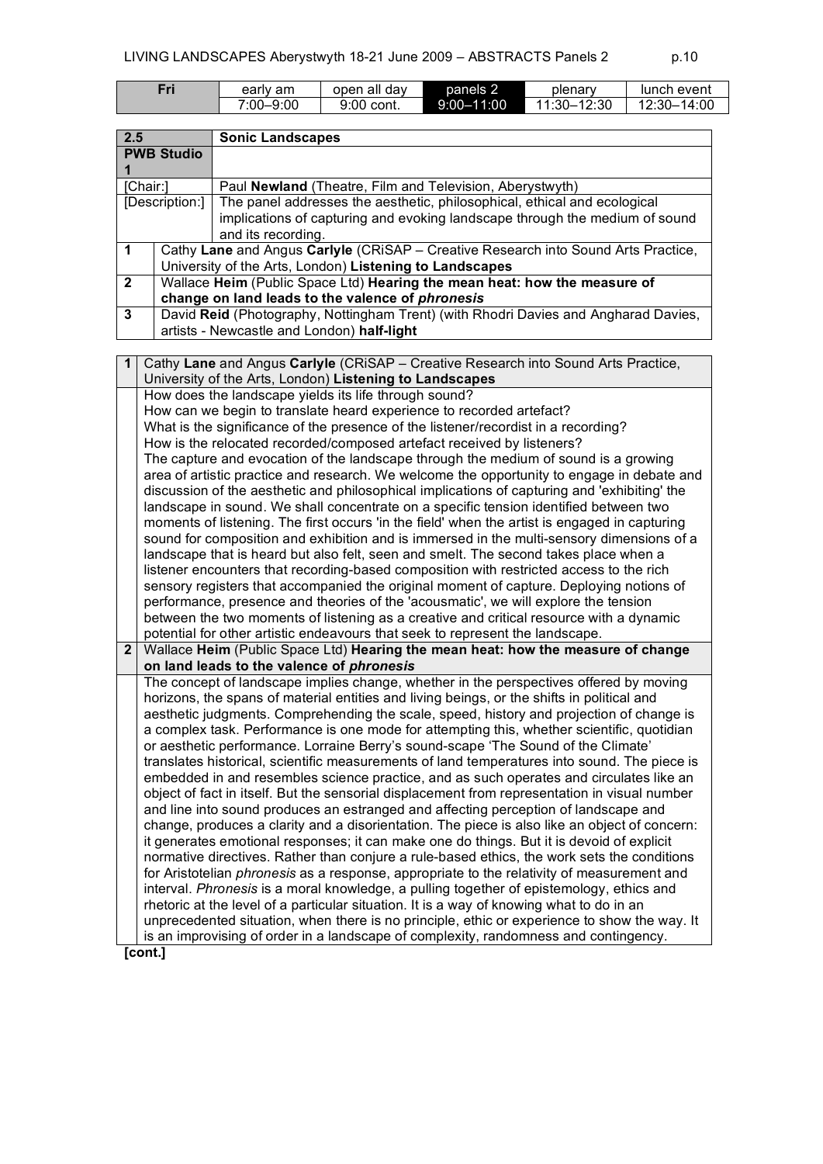| Fri | early am        | all dav<br>open | panels 2       | plenary                | lunch event       |
|-----|-----------------|-----------------|----------------|------------------------|-------------------|
|     | -9:00<br>7:00–⊾ | 9:00<br>` cont. | $9:00 - 11:00$ | 12:30<br>$-1.30 - 1.5$ | 14:00<br>$12:30-$ |

| 2.5            |                   | <b>Sonic Landscapes</b>                                                                                                                       |
|----------------|-------------------|-----------------------------------------------------------------------------------------------------------------------------------------------|
|                | <b>PWB Studio</b> |                                                                                                                                               |
| 1              |                   |                                                                                                                                               |
|                | [Chair:]          | Paul Newland (Theatre, Film and Television, Aberystwyth)                                                                                      |
| [Description:] |                   | The panel addresses the aesthetic, philosophical, ethical and ecological                                                                      |
|                |                   | implications of capturing and evoking landscape through the medium of sound                                                                   |
|                |                   | and its recording.                                                                                                                            |
| $\mathbf 1$    |                   | Cathy Lane and Angus Carlyle (CRISAP - Creative Research into Sound Arts Practice,<br>University of the Arts, London) Listening to Landscapes |
| $\mathbf{2}$   |                   | Wallace Heim (Public Space Ltd) Hearing the mean heat: how the measure of                                                                     |
|                |                   | change on land leads to the valence of phronesis                                                                                              |
| 3              |                   | David Reid (Photography, Nottingham Trent) (with Rhodri Davies and Angharad Davies,                                                           |
|                |                   | artists - Newcastle and London) half-light                                                                                                    |
|                |                   |                                                                                                                                               |
| 1              |                   | Cathy Lane and Angus Carlyle (CRISAP - Creative Research into Sound Arts Practice,                                                            |
|                |                   | University of the Arts, London) Listening to Landscapes                                                                                       |
|                |                   | How does the landscape yields its life through sound?                                                                                         |
|                |                   | How can we begin to translate heard experience to recorded artefact?                                                                          |
|                |                   | What is the significance of the presence of the listener/recordist in a recording?                                                            |
|                |                   | How is the relocated recorded/composed artefact received by listeners?                                                                        |
|                |                   | The capture and evocation of the landscape through the medium of sound is a growing                                                           |
|                |                   | area of artistic practice and research. We welcome the opportunity to engage in debate and                                                    |
|                |                   | discussion of the aesthetic and philosophical implications of capturing and 'exhibiting' the                                                  |
|                |                   | landscape in sound. We shall concentrate on a specific tension identified between two                                                         |
|                |                   | moments of listening. The first occurs 'in the field' when the artist is engaged in capturing                                                 |
|                |                   | sound for composition and exhibition and is immersed in the multi-sensory dimensions of a                                                     |
|                |                   | landscape that is heard but also felt, seen and smelt. The second takes place when a                                                          |
|                |                   | listener encounters that recording-based composition with restricted access to the rich                                                       |
|                |                   | sensory registers that accompanied the original moment of capture. Deploying notions of                                                       |
|                |                   | performance, presence and theories of the 'acousmatic', we will explore the tension                                                           |
|                |                   | between the two moments of listening as a creative and critical resource with a dynamic                                                       |
|                |                   | potential for other artistic endeavours that seek to represent the landscape.                                                                 |
| $\mathbf{2}$   |                   | Wallace Heim (Public Space Ltd) Hearing the mean heat: how the measure of change                                                              |
|                |                   | on land leads to the valence of phronesis                                                                                                     |
|                |                   | The concept of landscape implies change, whether in the perspectives offered by moving                                                        |
|                |                   | horizons, the spans of material entities and living beings, or the shifts in political and                                                    |
|                |                   | aesthetic judgments. Comprehending the scale, speed, history and projection of change is                                                      |
|                |                   | a complex task. Performance is one mode for attempting this, whether scientific, quotidian                                                    |
|                |                   | or aesthetic performance. Lorraine Berry's sound-scape 'The Sound of the Climate'                                                             |
|                |                   | translates historical, scientific measurements of land temperatures into sound. The piece is                                                  |
|                |                   | embedded in and resembles science practice, and as such operates and circulates like an                                                       |
|                |                   | object of fact in itself. But the sensorial displacement from representation in visual number                                                 |
|                |                   | and line into sound produces an estranged and affecting perception of landscape and                                                           |
|                |                   | change, produces a clarity and a disorientation. The piece is also like an object of concern:                                                 |
|                |                   | it generates emotional responses; it can make one do things. But it is devoid of explicit                                                     |
|                |                   | normative directives. Rather than conjure a rule-based ethics, the work sets the conditions                                                   |
|                |                   | for Aristotelian <i>phronesis</i> as a response, appropriate to the relativity of measurement and                                             |
|                |                   | interval. Phronesis is a moral knowledge, a pulling together of epistemology, ethics and                                                      |
|                |                   | rhetoric at the level of a particular situation. It is a way of knowing what to do in an                                                      |
|                |                   | unprecedented situation, when there is no principle, ethic or experience to show the way. It                                                  |
|                |                   | is an improvising of order in a landscape of complexity, randomness and contingency.                                                          |
|                |                   |                                                                                                                                               |